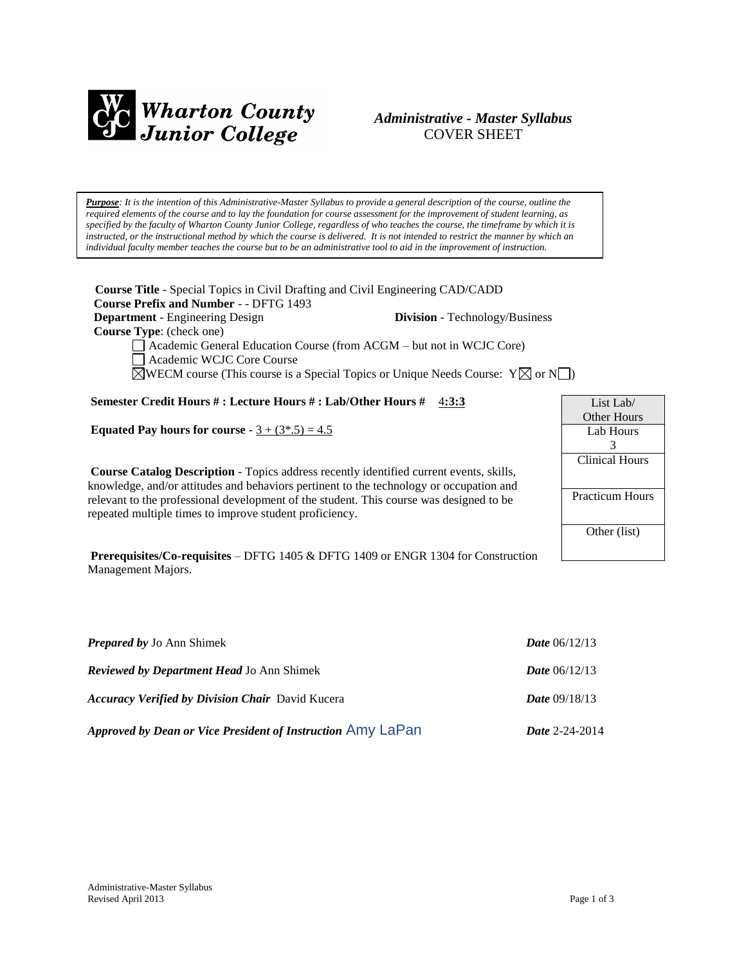

## *Administrative - Master Syllabus*  COVER SHEET

*Purpose: It is the intention of this Administrative-Master Syllabus to provide a general description of the course, outline the required elements of the course and to lay the foundation for course assessment for the improvement of student learning, as specified by the faculty of Wharton County Junior College, regardless of who teaches the course, the timeframe by which it is instructed, or the instructional method by which the course is delivered. It is not intended to restrict the manner by which an individual faculty member teaches the course but to be an administrative tool to aid in the improvement of instruction.*

**Course Title** - Special Topics in Civil Drafting and Civil Engineering CAD/CADD  **Course Prefix and Number** - - DFTG 1493 **Department** - Engineering Design **Division** - Technology/Business  **Course Type**: (check one) Academic General Education Course (from ACGM – but not in WCJC Core)

Academic WCJC Core Course

 $\boxtimes$ WECM course (This course is a Special Topics or Unique Needs Course: Y $\boxtimes$  or N $\Box$ )

**Semester Credit Hours # : Lecture Hours # : Lab/Other Hours #** 4**:3:3**

**Equated Pay hours for course**  $-3 + (3*, 5) = 4.5$ 

**Course Catalog Description** - Topics address recently identified current events, skills, knowledge, and/or attitudes and behaviors pertinent to the technology or occupation and relevant to the professional development of the student. This course was designed to be repeated multiple times to improve student proficiency.

**Prerequisites/Co-requisites** – DFTG 1405 & DFTG 1409 or ENGR 1304 for Construction Management Majors.

| <b>Prepared by Jo Ann Shimek</b>                            | <b>Date</b> $06/12/13$ |
|-------------------------------------------------------------|------------------------|
| <b>Reviewed by Department Head Jo Ann Shimek</b>            | <b>Date</b> $06/12/13$ |
| <b>Accuracy Verified by Division Chair</b> David Kucera     | <b>Date</b> $09/18/13$ |
| Approved by Dean or Vice President of Instruction Amy LaPan | Date 2-24-2014         |

| List Lab $\sqrt$       |
|------------------------|
| Other Hours            |
| Lab Hours              |
| 3                      |
| <b>Clinical Hours</b>  |
|                        |
| <b>Practicum Hours</b> |
|                        |
| Other (list)           |
|                        |
|                        |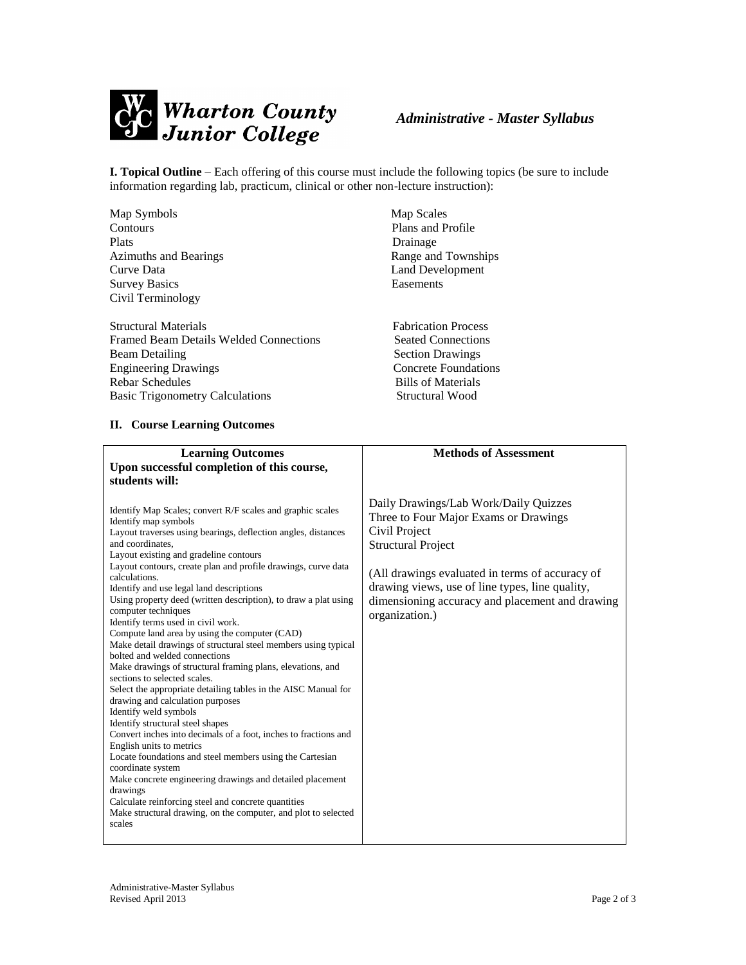

# *Administrative - Master Syllabus*

**I. Topical Outline** – Each offering of this course must include the following topics (be sure to include information regarding lab, practicum, clinical or other non-lecture instruction):

| Map Symbols                            | Map Scales                 |
|----------------------------------------|----------------------------|
| Contours                               | Plans and Profile          |
| <b>Plats</b>                           | Drainage                   |
| Azimuths and Bearings                  | Range and Townships        |
| Curve Data                             | Land Development           |
| <b>Survey Basics</b>                   | Easements                  |
| Civil Terminology                      |                            |
|                                        |                            |
| <b>Structural Materials</b>            | <b>Fabrication Process</b> |
| Framed Beam Details Welded Connections | <b>Seated Connections</b>  |
| <b>Beam Detailing</b>                  | <b>Section Drawings</b>    |
| <b>Engineering Drawings</b>            | Concrete Foundations       |
| Rebar Schedules                        | <b>Bills of Materials</b>  |
| <b>Basic Trigonometry Calculations</b> | Structural Wood            |

#### **II. Course Learning Outcomes**